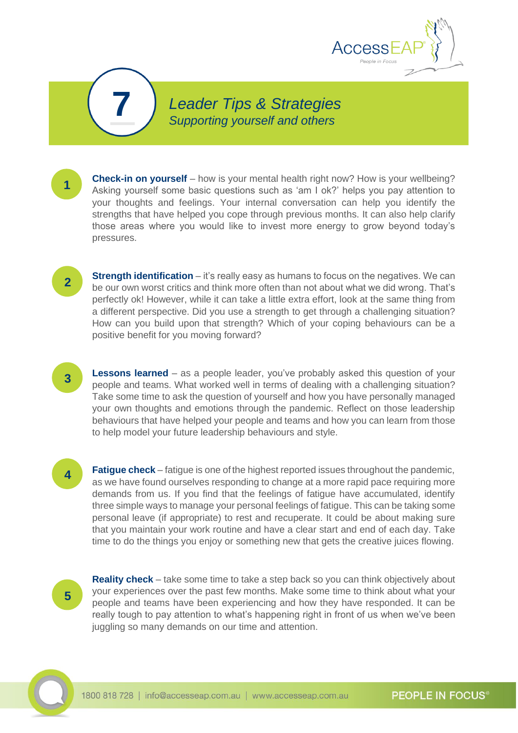

*Leader Tips & Strategies* **7** *Supporting yourself and others*

**Check-in on yourself** – how is your mental health right now? How is your wellbeing? Asking yourself some basic questions such as 'am I ok?' helps you pay attention to your thoughts and feelings. Your internal conversation can help you identify the strengths that have helped you cope through previous months. It can also help clarify those areas where you would like to invest more energy to grow beyond today's pressures.

**Strength identification** – it's really easy as humans to focus on the negatives. We can be our own worst critics and think more often than not about what we did wrong. That's perfectly ok! However, while it can take a little extra effort, look at the same thing from a different perspective. Did you use a strength to get through a challenging situation? How can you build upon that strength? Which of your coping behaviours can be a positive benefit for you moving forward?

**Lessons learned** – as a people leader, you've probably asked this question of your people and teams. What worked well in terms of dealing with a challenging situation? Take some time to ask the question of yourself and how you have personally managed your own thoughts and emotions through the pandemic. Reflect on those leadership behaviours that have helped your people and teams and how you can learn from those to help model your future leadership behaviours and style.

**4**

**3**

**1**

**2**

**Fatigue check** – fatigue is one of the highest reported issues throughout the pandemic, as we have found ourselves responding to change at a more rapid pace requiring more demands from us. If you find that the feelings of fatigue have accumulated, identify three simple ways to manage your personal feelings of fatigue. This can be taking some personal leave (if appropriate) to rest and recuperate. It could be about making sure that you maintain your work routine and have a clear start and end of each day. Take time to do the things you enjoy or something new that gets the creative juices flowing.

**5**

**Reality check** – take some time to take a step back so you can think objectively about your experiences over the past few months. Make some time to think about what your people and teams have been experiencing and how they have responded. It can be really tough to pay attention to what's happening right in front of us when we've been juggling so many demands on our time and attention.



**PEOPLE IN FOCUS®**